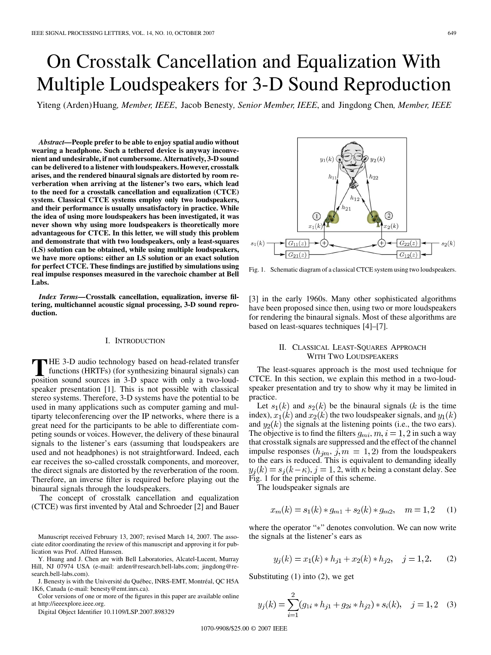# On Crosstalk Cancellation and Equalization With Multiple Loudspeakers for 3-D Sound Reproduction

Yiteng (Arden)Huang*, Member, IEEE*, Jacob Benesty*, Senior Member, IEEE*, and Jingdong Chen*, Member, IEEE*

*Abstract—***People prefer to be able to enjoy spatial audio without wearing a headphone. Such a tethered device is anyway inconvenient and undesirable, if not cumbersome. Alternatively, 3-D sound can be delivered to a listener with loudspeakers. However, crosstalk arises, and the rendered binaural signals are distorted by room reverberation when arriving at the listener's two ears, which lead to the need for a crosstalk cancellation and equalization (CTCE) system. Classical CTCE systems employ only two loudspeakers, and their performance is usually unsatisfactory in practice. While the idea of using more loudspeakers has been investigated, it was never shown why using more loudspeakers is theoretically more advantageous for CTCE. In this letter, we will study this problem and demonstrate that with two loudspeakers, only a least-squares (LS) solution can be obtained, while using multiple loudspeakers, we have more options: either an LS solution or an exact solution for perfect CTCE. These findings are justified by simulations using real impulse responses measured in the varechoic chamber at Bell Labs.**

*Index Terms—***Crosstalk cancellation, equalization, inverse filtering, multichannel acoustic signal processing, 3-D sound reproduction.**

## I. INTRODUCTION

**T**HE 3-D audio technology based on head-related transfer<br>functions (HRTFs) (for synthesizing binaural signals) can<br>position sound sources in 3-D space with only a two-loudposition sound sources in 3-D space with only a two-loudspeaker presentation [1]. This is not possible with classical stereo systems. Therefore, 3-D systems have the potential to be used in many applications such as computer gaming and multiparty teleconferencing over the IP networks, where there is a great need for the participants to be able to differentiate competing sounds or voices. However, the delivery of these binaural signals to the listener's ears (assuming that loudspeakers are used and not headphones) is not straightforward. Indeed, each ear receives the so-called crosstalk components, and moreover, the direct signals are distorted by the reverberation of the room. Therefore, an inverse filter is required before playing out the binaural signals through the loudspeakers.

The concept of crosstalk cancellation and equalization (CTCE) was first invented by Atal and Schroeder [2] and Bauer

Manuscript received February 13, 2007; revised March 14, 2007. The associate editor coordinating the review of this manuscript and approving it for publication was Prof. Alfred Hanssen.

Y. Huang and J. Chen are with Bell Laboratories, Alcatel-Lucent, Murray Hill, NJ 07974 USA (e-mail: arden@research.bell-labs.com; jingdong@research.bell-labs.com).

J. Benesty is with the Université du Québec, INRS-EMT, Montréal, QC H5A 1K6, Canada (e-mail: benesty@emt.inrs.ca).

Color versions of one or more of the figures in this paper are available online at http://ieeexplore.ieee.org.

Digital Object Identifier 10.1109/LSP.2007.898329



Fig. 1. Schematic diagram of a classical CTCE system using two loudspeakers.

[3] in the early 1960s. Many other sophisticated algorithms have been proposed since then, using two or more loudspeakers for rendering the binaural signals. Most of these algorithms are based on least-squares techniques [4]–[7].

## II. CLASSICAL LEAST-SQUARES APPROACH WITH TWO LOUDSPEAKERS

The least-squares approach is the most used technique for CTCE. In this section, we explain this method in a two-loudspeaker presentation and try to show why it may be limited in practice.

Let  $s_1(k)$  and  $s_2(k)$  be the binaural signals (k is the time index),  $x_1(k)$  and  $x_2(k)$  the two loudspeaker signals, and  $y_1(k)$ and  $y_2(k)$  the signals at the listening points (i.e., the two ears). The objective is to find the filters  $g_{mi}$ ,  $m, i = 1, 2$  in such a way that crosstalk signals are suppressed and the effect of the channel impulse responses  $(h_{jm}, j, m = 1, 2)$  from the loudspeakers to the ears is reduced. This is equivalent to demanding ideally  $y_j(k) = s_j(k - \kappa), j = 1, 2$ , with  $\kappa$  being a constant delay. See Fig. 1 for the principle of this scheme.

The loudspeaker signals are

$$
x_m(k) = s_1(k) * g_{m1} + s_2(k) * g_{m2}, \quad m = 1, 2 \quad (1)
$$

where the operator "\*" denotes convolution. We can now write the signals at the listener's ears as

$$
y_j(k) = x_1(k) * h_{j1} + x_2(k) * h_{j2}, \quad j = 1, 2.
$$
 (2)

Substituting (1) into (2), we get

$$
y_j(k) = \sum_{i=1}^{2} (g_{1i} * h_{j1} + g_{2i} * h_{j2}) * s_i(k), \quad j = 1, 2 \quad (3)
$$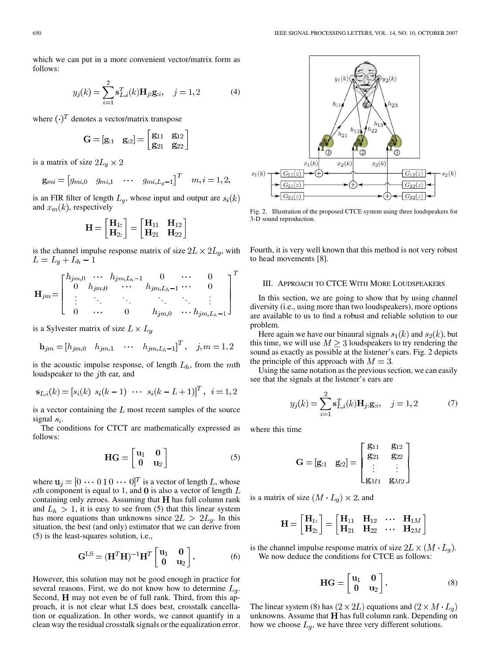which we can put in a more convenient vector/matrix form as follows:

$$
y_j(k) = \sum_{i=1}^{2} \mathbf{s}_{L,i}^T(k) \mathbf{H}_{j:} \mathbf{g}_{:i}, \quad j = 1, 2
$$
 (4)

where  $(\cdot)^T$  denotes a vector/matrix transpose

$$
\mathbf{G} = \begin{bmatrix} \mathbf{g}_{:1} & \mathbf{g}_{:2} \end{bmatrix} = \begin{bmatrix} \mathbf{g}_{11} & \mathbf{g}_{12} \\ \mathbf{g}_{21} & \mathbf{g}_{22} \end{bmatrix}
$$

is a matrix of size  $2L_g \times 2$ 

$$
\mathbf{g}_{mi} = [g_{mi,0} \quad g_{mi,1} \quad \cdots \quad g_{mi,L_g-1}]^T \quad m, i = 1,2,
$$

is an FIR filter of length  $L_g$ , whose input and output are  $s_i(k)$ and  $x_m(k)$ , respectively

$$
\mathbf{H} = \begin{bmatrix} \mathbf{H}_{1:} \\ \mathbf{H}_{2:} \end{bmatrix} = \begin{bmatrix} \mathbf{H}_{11} & \mathbf{H}_{12} \\ \mathbf{H}_{21} & \mathbf{H}_{22} \end{bmatrix}
$$

is the channel impulse response matrix of size  $2L \times 2L_g$ , with  $L = L_g + L_h - 1$ 

$$
\mathbf{H}_{jm} = \begin{bmatrix} h_{jm,0} & \cdots & h_{jm,L_h-1} & 0 & \cdots & 0 \\ 0 & h_{jm,0} & \cdots & h_{jm,L_h-1} & \cdots & 0 \\ \vdots & \ddots & \ddots & \ddots & \ddots & \vdots \\ 0 & \cdots & 0 & h_{jm,0} & \cdots & h_{jm,L_h-1} \end{bmatrix}^{T}
$$

is a Sylvester matrix of size  $L \times L_q$ 

$$
\mathbf{h}_{jm} = [h_{jm,0} \quad h_{jm,1} \quad \cdots \quad h_{jm,L_h-1}]^T, \quad j,m = 1,2
$$

is the acoustic impulse response, of length  $L<sub>h</sub>$ , from the  $m$ th loudspeaker to the  $j$ th ear, and

$$
\mathbf{s}_{L,i}(k) = [s_i(k) \ s_i(k-1) \ \cdots \ s_i(k-L+1)]^T, \ i = 1,2
$$

is a vector containing the  $L$  most recent samples of the source signal  $s_i$ .

The conditions for CTCT are mathematically expressed as follows:

$$
\mathbf{HG} = \begin{bmatrix} \mathbf{u}_1 & \mathbf{0} \\ \mathbf{0} & \mathbf{u}_2 \end{bmatrix} \tag{5}
$$

where  $\mathbf{u}_i = [0 \cdots 0 \ 1 \ 0 \cdots 0]^T$  is a vector of length L, whose  $\kappa$ th component is equal to 1, and 0 is also a vector of length L containing only zeroes. Assuming that  $H$  has full column rank and  $L<sub>h</sub> > 1$ , it is easy to see from (5) that this linear system has more equations than unknowns since  $2L > 2L_g$ . In this situation, the best (and only) estimator that we can derive from (5) is the least-squares solution, i.e.,

$$
\mathbf{G}^{\text{LS}} = (\mathbf{H}^T \mathbf{H})^{-1} \mathbf{H}^T \begin{bmatrix} \mathbf{u}_1 & \mathbf{0} \\ \mathbf{0} & \mathbf{u}_2 \end{bmatrix} . \tag{6}
$$

However, this solution may not be good enough in practice for several reasons. First, we do not know how to determine  $L_q$ . Second,  $H$  may not even be of full rank. Third, from this approach, it is not clear what LS does best, crosstalk cancellation or equalization. In other words, we cannot quantify in a clean way the residual crosstalk signals or the equalization error.



Fig. 2. Illustration of the proposed CTCE system using three loudspeakers for 3-D sound reproduction.

Fourth, it is very well known that this method is not very robust to head movements [8].

### III. APPROACH TO CTCE WITH MORE LOUDSPEAKERS

In this section, we are going to show that by using channel diversity (i.e., using more than two loudspeakers), more options are available to us to find a robust and reliable solution to our problem.

Here again we have our binaural signals  $s_1(k)$  and  $s_2(k)$ , but this time, we will use  $M \geq 3$  loudspeakers to try rendering the sound as exactly as possible at the listener's ears. Fig. 2 depicts the principle of this approach with  $M = 3$ .

Using the same notation as the previous section, we can easily see that the signals at the listener's ears are

$$
y_j(k) = \sum_{i=1}^{2} \mathbf{s}_{L,i}^T(k) \mathbf{H}_{j:} \mathbf{g}_{:i}, \quad j = 1, 2 \tag{7}
$$

where this time

$$
\mathbf{G} = [\mathbf{g}_{:1} \quad \mathbf{g}_{:2}] = \begin{bmatrix} \mathbf{g}_{11} & \mathbf{g}_{12} \\ \mathbf{g}_{21} & \mathbf{g}_{22} \\ \vdots & \vdots \\ \mathbf{g}_{M1} & \mathbf{g}_{M2} \end{bmatrix}
$$

is a matrix of size  $(M \cdot L_q) \times 2$ , and

$$
\mathbf{H} = \begin{bmatrix} \mathbf{H}_{1:} \\ \mathbf{H}_{2:} \end{bmatrix} = \begin{bmatrix} \mathbf{H}_{11} & \mathbf{H}_{12} & \cdots & \mathbf{H}_{1M} \\ \mathbf{H}_{21} & \mathbf{H}_{22} & \cdots & \mathbf{H}_{2M} \end{bmatrix}
$$

is the channel impulse response matrix of size  $2L \times (M \cdot L_q)$ . We now deduce the conditions for CTCE as follows:

$$
\mathbf{HG} = \begin{bmatrix} \mathbf{u}_1 & \mathbf{0} \\ \mathbf{0} & \mathbf{u}_2 \end{bmatrix} . \tag{8}
$$

The linear system (8) has  $(2 \times 2L)$  equations and  $(2 \times M \cdot L_g)$ unknowns. Assume that  $H$  has full column rank. Depending on how we choose  $L_g$ , we have three very different solutions.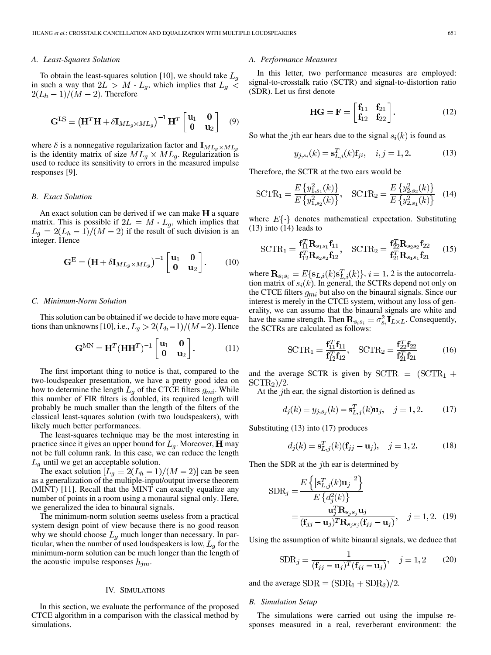#### *A. Least-Squares Solution*

To obtain the least-squares solution [10], we should take  $L_g$ in such a way that  $2L > M \cdot L_g$ , which implies that  $L_g <$  $2(L_h-1)/(M-2)$ . Therefore

$$
\mathbf{G}^{\text{LS}} = \left(\mathbf{H}^T \mathbf{H} + \delta \mathbf{I}_{ML_g \times ML_g}\right)^{-1} \mathbf{H}^T \begin{bmatrix} \mathbf{u}_1 & \mathbf{0} \\ \mathbf{0} & \mathbf{u}_2 \end{bmatrix} \tag{9}
$$

where  $\delta$  is a nonnegative regularization factor and  $\mathbf{I}_{ML_g \times ML_g}$ is the identity matrix of size  $ML_g \times ML_g$ . Regularization is used to reduce its sensitivity to errors in the measured impulse responses [9].

#### *B. Exact Solution*

An exact solution can be derived if we can make  $H$  a square matrix. This is possible if  $2L = M \cdot L_g$ , which implies that  $L_g = 2(L_h - 1)/(M - 2)$  if the result of such division is an integer. Hence

$$
\mathbf{G}^{\mathrm{E}} = \left(\mathbf{H} + \delta \mathbf{I}_{ML_g \times ML_g}\right)^{-1} \begin{bmatrix} \mathbf{u}_1 & \mathbf{0} \\ \mathbf{0} & \mathbf{u}_2 \end{bmatrix} . \tag{10}
$$

## *C. Minimum-Norm Solution*

This solution can be obtained if we decide to have more equations than unknowns [10], i.e.,  $L_g > 2(L_h-1)/(M-2)$ . Hence

$$
\mathbf{G}^{\text{MN}} = \mathbf{H}^T (\mathbf{H} \mathbf{H}^T)^{-1} \begin{bmatrix} \mathbf{u}_1 & \mathbf{0} \\ \mathbf{0} & \mathbf{u}_2 \end{bmatrix} . \tag{11}
$$

The first important thing to notice is that, compared to the two-loudspeaker presentation, we have a pretty good idea on how to determine the length  $L_g$  of the CTCE filters  $g_{mi}$ . While this number of FIR filters is doubled, its required length will probably be much smaller than the length of the filters of the classical least-squares solution (with two loudspeakers), with likely much better performances.

The least-squares technique may be the most interesting in practice since it gives an upper bound for  $L_q$ . Moreover, **H** may not be full column rank. In this case, we can reduce the length  $L_g$  until we get an acceptable solution.

The exact solution  $[L_g = 2(L_h - 1)/(M - 2)]$  can be seen as a generalization of the multiple-input/output inverse theorem (MINT) [11]. Recall that the MINT can exactly equalize any number of points in a room using a monaural signal only. Here, we generalized the idea to binaural signals.

The minimum-norm solution seems useless from a practical system design point of view because there is no good reason why we should choose  $L_g$  much longer than necessary. In particular, when the number of used loudspeakers is low,  $L_q$  for the minimum-norm solution can be much longer than the length of the acoustic impulse responses  $h_{jm}$ .

#### IV. SIMULATIONS

In this section, we evaluate the performance of the proposed CTCE algorithm in a comparison with the classical method by simulations.

#### *A. Performance Measures*

In this letter, two performance measures are employed: signal-to-crosstalk ratio (SCTR) and signal-to-distortion ratio (SDR). Let us first denote

$$
\mathbf{HG} = \mathbf{F} = \begin{bmatrix} \mathbf{f}_{11} & \mathbf{f}_{21} \\ \mathbf{f}_{12} & \mathbf{f}_{22} \end{bmatrix} . \tag{12}
$$

So what the j<sup>th</sup> ear hears due to the signal  $s_i(k)$  is found as

$$
y_{j,s_i}(k) = \mathbf{s}_{L,i}^T(k)\mathbf{f}_{ji}, \quad i, j = 1, 2.
$$
 (13)

Therefore, the SCTR at the two ears would be

$$
SCTR_1 = \frac{E\left\{y_{1,s_1}^2(k)\right\}}{E\left\{y_{1,s_2}^2(k)\right\}}, \quad SCTR_2 = \frac{E\left\{y_{2,s_2}^2(k)\right\}}{E\left\{y_{2,s_1}^2(k)\right\}} \quad (14)
$$

where  $E\{\cdot\}$  denotes mathematical expectation. Substituting (13) into (14) leads to

$$
SCTR_1 = \frac{\mathbf{f}_{11}^T \mathbf{R}_{s_1 s_1} \mathbf{f}_{11}}{\mathbf{f}_{12}^T \mathbf{R}_{s_2 s_2} \mathbf{f}_{12}}, \quad SCTR_2 = \frac{\mathbf{f}_{22}^T \mathbf{R}_{s_2 s_2} \mathbf{f}_{22}}{\mathbf{f}_{21}^T \mathbf{R}_{s_1 s_1} \mathbf{f}_{21}}
$$
(15)

where  $\mathbf{R}_{s_i s_i} = E\{\mathbf{s}_{L,i}(k)\mathbf{s}_{L,i}^T(k)\}, i = 1, 2$  is the autocorrelation matrix of  $s_i(k)$ . In general, the SCTRs depend not only on the CTCE filters  $g_{mi}$  but also on the binaural signals. Since our interest is merely in the CTCE system, without any loss of generality, we can assume that the binaural signals are white and have the same strength. Then  $\mathbf{R}_{s_i s_i} = \sigma_{s_i}^2 \mathbf{I}_{L \times L}$ . Consequently, the SCTRs are calculated as follows:

$$
SCTR_1 = \frac{\mathbf{f}_{11}^T \mathbf{f}_{11}}{\mathbf{f}_{12}^T \mathbf{f}_{12}}, \quad SCTR_2 = \frac{\mathbf{f}_{22}^T \mathbf{f}_{22}}{\mathbf{f}_{21}^T \mathbf{f}_{21}} \tag{16}
$$

and the average SCTR is given by SCTR  $=$  (SCTR<sub>1</sub> +  $SCTR<sub>2</sub>)/2$ .

At the *j*th ear, the signal distortion is defined as

$$
d_j(k) = y_{j,s_j}(k) - \mathbf{s}_{L,j}^T(k)\mathbf{u}_j, \quad j = 1,2.
$$
 (17)

Substituting (13) into (17) produces

$$
d_j(k) = \mathbf{s}_{L,j}^T(k)(\mathbf{f}_{jj} - \mathbf{u}_j), \quad j = 1, 2.
$$
 (18)

Then the SDR at the *j*th ear is determined by

$$
SDR_j = \frac{E\left\{ \left[ \mathbf{s}_{L,j}^T(k)\mathbf{u}_j \right]^2 \right\}}{E\left\{ d_j^2(k) \right\}} = \frac{\mathbf{u}_j^T \mathbf{R}_{s_j s_j} \mathbf{u}_j}{(\mathbf{f}_{jj} - \mathbf{u}_j)^T \mathbf{R}_{s_j s_j}(\mathbf{f}_{jj} - \mathbf{u}_j)}, \quad j = 1, 2. \quad (19)
$$

Using the assumption of white binaural signals, we deduce that

$$
SDRj = \frac{1}{(\mathbf{f}_{jj} - \mathbf{u}_j)^T (\mathbf{f}_{jj} - \mathbf{u}_j)}, \quad j = 1, 2 \tag{20}
$$

and the average  $SDR = (SDR<sub>1</sub> + SDR<sub>2</sub>)/2$ .

### *B. Simulation Setup*

The simulations were carried out using the impulse responses measured in a real, reverberant environment: the